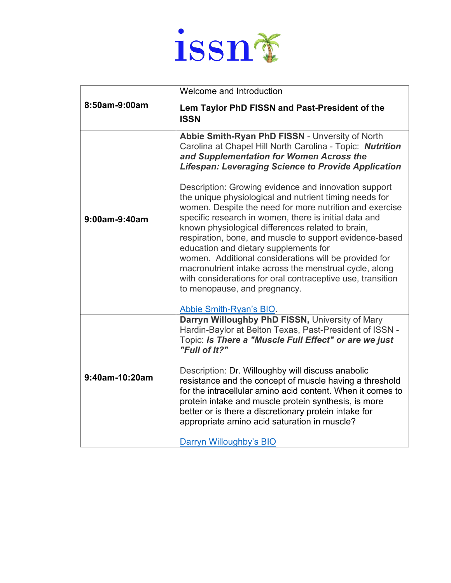

| 8:50am-9:00am  | Welcome and Introduction                                                                                                                                                                                                                                                                                                                                                                                                                                                                                                                                                                                                                                                                                                                                                                                                               |
|----------------|----------------------------------------------------------------------------------------------------------------------------------------------------------------------------------------------------------------------------------------------------------------------------------------------------------------------------------------------------------------------------------------------------------------------------------------------------------------------------------------------------------------------------------------------------------------------------------------------------------------------------------------------------------------------------------------------------------------------------------------------------------------------------------------------------------------------------------------|
|                | Lem Taylor PhD FISSN and Past-President of the<br><b>ISSN</b>                                                                                                                                                                                                                                                                                                                                                                                                                                                                                                                                                                                                                                                                                                                                                                          |
| 9:00am-9:40am  | Abbie Smith-Ryan PhD FISSN - Unversity of North<br>Carolina at Chapel Hill North Carolina - Topic: Nutrition<br>and Supplementation for Women Across the<br><b>Lifespan: Leveraging Science to Provide Application</b><br>Description: Growing evidence and innovation support<br>the unique physiological and nutrient timing needs for<br>women. Despite the need for more nutrition and exercise<br>specific research in women, there is initial data and<br>known physiological differences related to brain,<br>respiration, bone, and muscle to support evidence-based<br>education and dietary supplements for<br>women. Additional considerations will be provided for<br>macronutrient intake across the menstrual cycle, along<br>with considerations for oral contraceptive use, transition<br>to menopause, and pregnancy. |
| 9:40am-10:20am | Abbie Smith-Ryan's BIO.<br>Darryn Willoughby PhD FISSN, University of Mary<br>Hardin-Baylor at Belton Texas, Past-President of ISSN -<br>Topic: Is There a "Muscle Full Effect" or are we just<br>"Full of It?"<br>Description: Dr. Willoughby will discuss anabolic<br>resistance and the concept of muscle having a threshold<br>for the intracellular amino acid content. When it comes to<br>protein intake and muscle protein synthesis, is more<br>better or is there a discretionary protein intake for<br>appropriate amino acid saturation in muscle?<br>Darryn Willoughby's BIO                                                                                                                                                                                                                                              |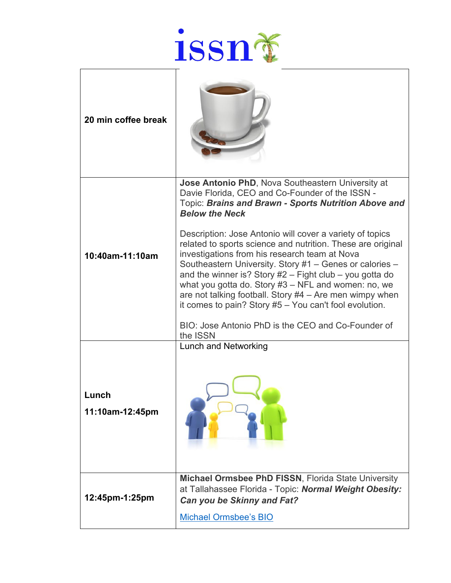

| 20 min coffee break      |                                                                                                                                                                                                                                                                                                                                                                                                                                                                                                                                        |
|--------------------------|----------------------------------------------------------------------------------------------------------------------------------------------------------------------------------------------------------------------------------------------------------------------------------------------------------------------------------------------------------------------------------------------------------------------------------------------------------------------------------------------------------------------------------------|
|                          | Jose Antonio PhD, Nova Southeastern University at<br>Davie Florida, CEO and Co-Founder of the ISSN -<br>Topic: Brains and Brawn - Sports Nutrition Above and<br><b>Below the Neck</b>                                                                                                                                                                                                                                                                                                                                                  |
| 10:40am-11:10am          | Description: Jose Antonio will cover a variety of topics<br>related to sports science and nutrition. These are original<br>investigations from his research team at Nova<br>Southeastern University. Story #1 - Genes or calories -<br>and the winner is? Story #2 - Fight club - you gotta do<br>what you gotta do. Story $#3 - NFL$ and women: no, we<br>are not talking football. Story $#4 -$ Are men wimpy when<br>it comes to pain? Story $#5 - You$ can't fool evolution.<br>BIO: Jose Antonio PhD is the CEO and Co-Founder of |
|                          | the ISSN<br>Lunch and Networking                                                                                                                                                                                                                                                                                                                                                                                                                                                                                                       |
| Lunch<br>11:10am-12:45pm |                                                                                                                                                                                                                                                                                                                                                                                                                                                                                                                                        |
| 12:45pm-1:25pm           | <b>Michael Ormsbee PhD FISSN, Florida State University</b><br>at Tallahassee Florida - Topic: Normal Weight Obesity:<br>Can you be Skinny and Fat?                                                                                                                                                                                                                                                                                                                                                                                     |
|                          | <b>Michael Ormsbee's BIO</b>                                                                                                                                                                                                                                                                                                                                                                                                                                                                                                           |